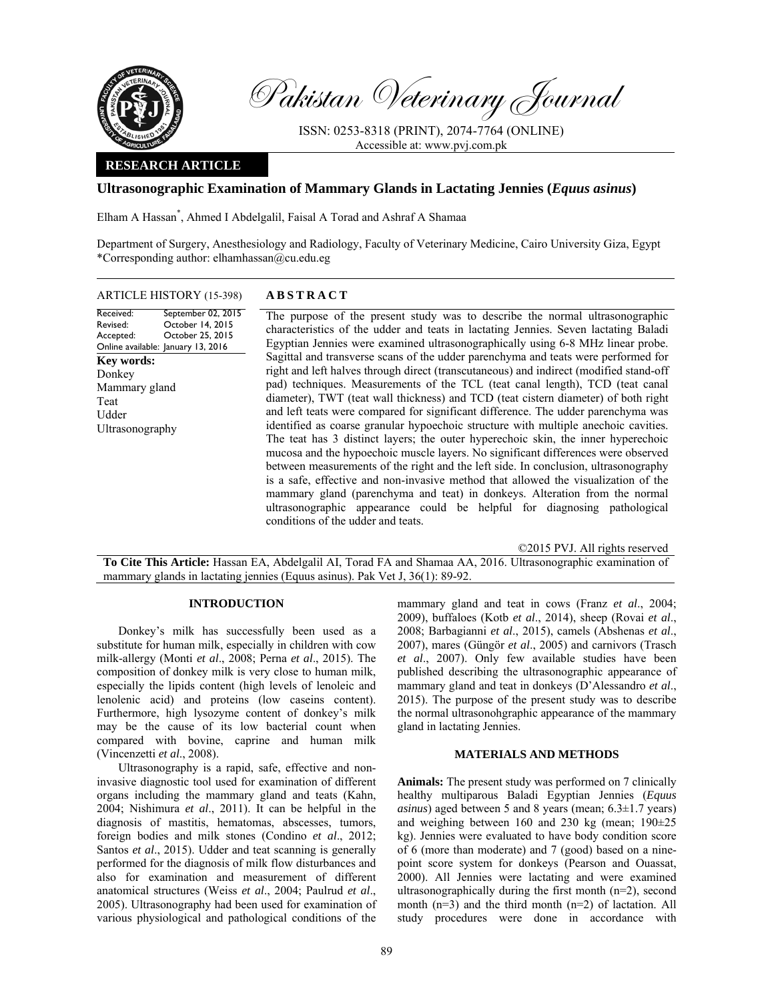

Pakistan Veterinary Journal

ISSN: 0253-8318 (PRINT), 2074-7764 (ONLINE) Accessible at: www.pvj.com.pk

# **RESEARCH ARTICLE**

# **Ultrasonographic Examination of Mammary Glands in Lactating Jennies (***Equus asinus***)**

Elham A Hassan\* , Ahmed I Abdelgalil, Faisal A Torad and Ashraf A Shamaa

Department of Surgery, Anesthesiology and Radiology, Faculty of Veterinary Medicine, Cairo University Giza, Egypt \*Corresponding author: elhamhassan@cu.edu.eg

| <b>ARTICLE HISTORY (15-398)</b>                                                                                                        | <b>ABSTRACT</b>                                                                                                                                                                                                                                                                                                                                                                                                                                                                                                                                                                                                                                                                                                                                                                                                                                                                                                                                                                                                                                                                                                                                                           |
|----------------------------------------------------------------------------------------------------------------------------------------|---------------------------------------------------------------------------------------------------------------------------------------------------------------------------------------------------------------------------------------------------------------------------------------------------------------------------------------------------------------------------------------------------------------------------------------------------------------------------------------------------------------------------------------------------------------------------------------------------------------------------------------------------------------------------------------------------------------------------------------------------------------------------------------------------------------------------------------------------------------------------------------------------------------------------------------------------------------------------------------------------------------------------------------------------------------------------------------------------------------------------------------------------------------------------|
| September 02, 2015<br>Received:<br>October 14, 2015<br>Revised:<br>October 25, 2015<br>Accepted:<br>Online available: January 13, 2016 | The purpose of the present study was to describe the normal ultrasonographic<br>characteristics of the udder and teats in lactating Jennies. Seven lactating Baladi                                                                                                                                                                                                                                                                                                                                                                                                                                                                                                                                                                                                                                                                                                                                                                                                                                                                                                                                                                                                       |
| <b>Key words:</b><br>Donkey<br>Mammary gland<br>Teat<br>Udder<br>Ultrasonography                                                       | Egyptian Jennies were examined ultrasonographically using 6-8 MHz linear probe.<br>Sagittal and transverse scans of the udder parenchyma and teats were performed for<br>right and left halves through direct (transcutaneous) and indirect (modified stand-off<br>pad) techniques. Measurements of the TCL (teat canal length), TCD (teat canal<br>diameter), TWT (teat wall thickness) and TCD (teat cistern diameter) of both right<br>and left teats were compared for significant difference. The udder parenchyma was<br>identified as coarse granular hypoechoic structure with multiple anechoic cavities.<br>The teat has 3 distinct layers; the outer hyperechoic skin, the inner hyperechoic<br>mucosa and the hypoechoic muscle layers. No significant differences were observed<br>between measurements of the right and the left side. In conclusion, ultrasonography<br>is a safe, effective and non-invasive method that allowed the visualization of the<br>mammary gland (parenchyma and teat) in donkeys. Alteration from the normal<br>ultrasonographic appearance could be helpful for diagnosing pathological<br>conditions of the udder and teats. |
|                                                                                                                                        | ©2015 PVJ. All rights reserved                                                                                                                                                                                                                                                                                                                                                                                                                                                                                                                                                                                                                                                                                                                                                                                                                                                                                                                                                                                                                                                                                                                                            |
|                                                                                                                                        | <b>To Cite This Article:</b> Hassan EA Abdelgalil AI Torad EA and Shamaa AA 2016 Ultrasonographic examination of                                                                                                                                                                                                                                                                                                                                                                                                                                                                                                                                                                                                                                                                                                                                                                                                                                                                                                                                                                                                                                                          |

**To Cite This Article:** Hassan EA, Abdelgalil AI, Torad FA and Shamaa AA, 2016. Ultrasonographic examination of mammary glands in lactating jennies (Equus asinus). Pak Vet J, 36(1): 89-92.

## **INTRODUCTION**

Donkey's milk has successfully been used as a substitute for human milk, especially in children with cow milk-allergy (Monti *et al*., 2008; Perna *et al*., 2015). The composition of donkey milk is very close to human milk, especially the lipids content (high levels of lenoleic and lenolenic acid) and proteins (low caseins content). Furthermore, high lysozyme content of donkey's milk may be the cause of its low bacterial count when compared with bovine, caprine and human milk (Vincenzetti *et al*., 2008).

Ultrasonography is a rapid, safe, effective and noninvasive diagnostic tool used for examination of different organs including the mammary gland and teats (Kahn, 2004; Nishimura *et al*., 2011). It can be helpful in the diagnosis of mastitis, hematomas, abscesses, tumors, foreign bodies and milk stones (Condino *et al*., 2012; Santos *et al*., 2015). Udder and teat scanning is generally performed for the diagnosis of milk flow disturbances and also for examination and measurement of different anatomical structures (Weiss *et al*., 2004; Paulrud *et al*., 2005). Ultrasonography had been used for examination of various physiological and pathological conditions of the

mammary gland and teat in cows (Franz *et al*., 2004; 2009), buffaloes (Kotb *et al*., 2014), sheep (Rovai *et al*., 2008; Barbagianni *et al*., 2015), camels (Abshenas *et al*., 2007), mares (Güngör *et al*., 2005) and carnivors (Trasch *et al*., 2007). Only few available studies have been published describing the ultrasonographic appearance of mammary gland and teat in donkeys (D'Alessandro *et al*., 2015). The purpose of the present study was to describe the normal ultrasonohgraphic appearance of the mammary gland in lactating Jennies.

#### **MATERIALS AND METHODS**

**Animals:** The present study was performed on 7 clinically healthy multiparous Baladi Egyptian Jennies (*Equus asinus*) aged between 5 and 8 years (mean; 6.3±1.7 years) and weighing between 160 and 230 kg (mean;  $190\pm25$ ) kg). Jennies were evaluated to have body condition score of 6 (more than moderate) and 7 (good) based on a ninepoint score system for donkeys (Pearson and Ouassat, 2000). All Jennies were lactating and were examined ultrasonographically during the first month  $(n=2)$ , second month (n=3) and the third month (n=2) of lactation. All study procedures were done in accordance with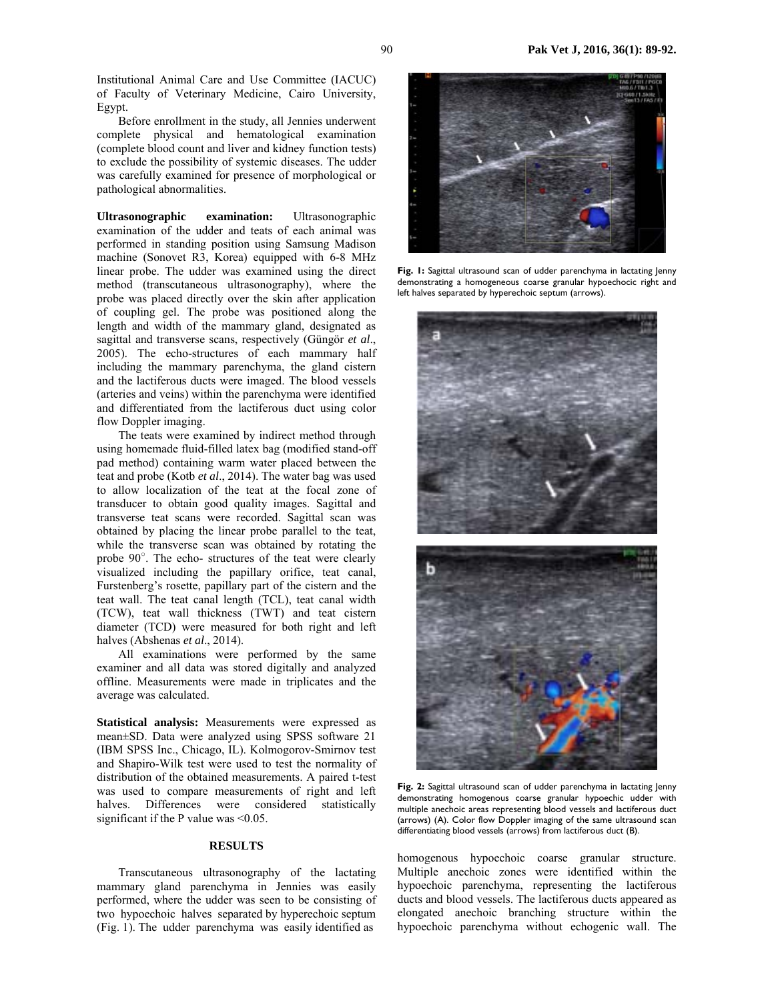Institutional Animal Care and Use Committee (IACUC) of Faculty of Veterinary Medicine, Cairo University, Egypt.

Before enrollment in the study, all Jennies underwent complete physical and hematological examination (complete blood count and liver and kidney function tests) to exclude the possibility of systemic diseases. The udder was carefully examined for presence of morphological or pathological abnormalities.

**Ultrasonographic examination:** Ultrasonographic examination of the udder and teats of each animal was performed in standing position using Samsung Madison machine (Sonovet R3, Korea) equipped with 6-8 MHz linear probe. The udder was examined using the direct method (transcutaneous ultrasonography), where the probe was placed directly over the skin after application of coupling gel. The probe was positioned along the length and width of the mammary gland, designated as sagittal and transverse scans, respectively (Güngör *et al*., 2005). The echo-structures of each mammary half including the mammary parenchyma, the gland cistern and the lactiferous ducts were imaged. The blood vessels (arteries and veins) within the parenchyma were identified and differentiated from the lactiferous duct using color flow Doppler imaging.

The teats were examined by indirect method through using homemade fluid-filled latex bag (modified stand-off pad method) containing warm water placed between the teat and probe (Kotb *et al*., 2014). The water bag was used to allow localization of the teat at the focal zone of transducer to obtain good quality images. Sagittal and transverse teat scans were recorded. Sagittal scan was obtained by placing the linear probe parallel to the teat, while the transverse scan was obtained by rotating the probe 90○ . The echo- structures of the teat were clearly visualized including the papillary orifice, teat canal, Furstenberg's rosette, papillary part of the cistern and the teat wall. The teat canal length (TCL), teat canal width (TCW), teat wall thickness (TWT) and teat cistern diameter (TCD) were measured for both right and left halves (Abshenas *et al*., 2014).

All examinations were performed by the same examiner and all data was stored digitally and analyzed offline. Measurements were made in triplicates and the average was calculated.

**Statistical analysis:** Measurements were expressed as mean±SD. Data were analyzed using SPSS software 21 (IBM SPSS Inc., Chicago, IL). Kolmogorov-Smirnov test and Shapiro-Wilk test were used to test the normality of distribution of the obtained measurements. A paired t-test was used to compare measurements of right and left halves. Differences were considered statistically significant if the P value was  $\leq 0.05$ .

## **RESULTS**

Transcutaneous ultrasonography of the lactating mammary gland parenchyma in Jennies was easily performed, where the udder was seen to be consisting of two hypoechoic halves separated by hyperechoic septum (Fig. 1). The udder parenchyma was easily identified as



**Fig. 1:** Sagittal ultrasound scan of udder parenchyma in lactating Jenny demonstrating a homogeneous coarse granular hypoechocic right and left halves separated by hyperechoic septum (arrows).



Fig. 2: Sagittal ultrasound scan of udder parenchyma in lactating Jenny demonstrating homogenous coarse granular hypoechic udder with multiple anechoic areas representing blood vessels and lactiferous duct (arrows) (A). Color flow Doppler imaging of the same ultrasound scan differentiating blood vessels (arrows) from lactiferous duct (B).

homogenous hypoechoic coarse granular structure. Multiple anechoic zones were identified within the hypoechoic parenchyma, representing the lactiferous ducts and blood vessels. The lactiferous ducts appeared as elongated anechoic branching structure within the hypoechoic parenchyma without echogenic wall. The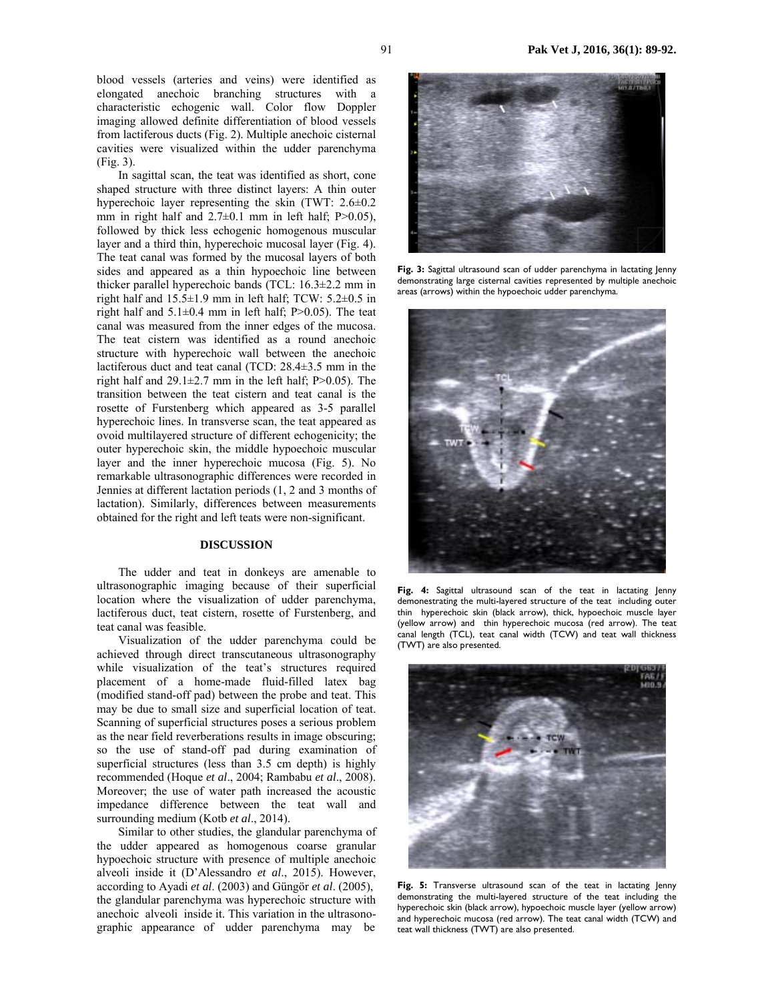blood vessels (arteries and veins) were identified as elongated anechoic branching structures with a characteristic echogenic wall. Color flow Doppler imaging allowed definite differentiation of blood vessels from lactiferous ducts (Fig. 2). Multiple anechoic cisternal cavities were visualized within the udder parenchyma (Fig. 3).

In sagittal scan, the teat was identified as short, cone shaped structure with three distinct layers: A thin outer hyperechoic layer representing the skin (TWT: 2.6±0.2 mm in right half and  $2.7\pm0.1$  mm in left half; P $>0.05$ ), followed by thick less echogenic homogenous muscular layer and a third thin, hyperechoic mucosal layer (Fig. 4). The teat canal was formed by the mucosal layers of both sides and appeared as a thin hypoechoic line between thicker parallel hyperechoic bands (TCL: 16.3±2.2 mm in right half and 15.5±1.9 mm in left half; TCW: 5.2±0.5 in right half and  $5.1\pm0.4$  mm in left half; P $>0.05$ ). The teat canal was measured from the inner edges of the mucosa. The teat cistern was identified as a round anechoic structure with hyperechoic wall between the anechoic lactiferous duct and teat canal (TCD: 28.4±3.5 mm in the right half and  $29.1 \pm 2.7$  mm in the left half; P $> 0.05$ ). The transition between the teat cistern and teat canal is the rosette of Furstenberg which appeared as 3-5 parallel hyperechoic lines. In transverse scan, the teat appeared as ovoid multilayered structure of different echogenicity; the outer hyperechoic skin, the middle hypoechoic muscular layer and the inner hyperechoic mucosa (Fig. 5). No remarkable ultrasonographic differences were recorded in Jennies at different lactation periods (1, 2 and 3 months of lactation). Similarly, differences between measurements obtained for the right and left teats were non-significant.

# **DISCUSSION**

The udder and teat in donkeys are amenable to ultrasonographic imaging because of their superficial location where the visualization of udder parenchyma, lactiferous duct, teat cistern, rosette of Furstenberg, and teat canal was feasible.

Visualization of the udder parenchyma could be achieved through direct transcutaneous ultrasonography while visualization of the teat's structures required placement of a home-made fluid-filled latex bag (modified stand-off pad) between the probe and teat. This may be due to small size and superficial location of teat. Scanning of superficial structures poses a serious problem as the near field reverberations results in image obscuring; so the use of stand-off pad during examination of superficial structures (less than 3.5 cm depth) is highly recommended (Hoque *et al*., 2004; Rambabu *et al*., 2008). Moreover; the use of water path increased the acoustic impedance difference between the teat wall and surrounding medium (Kotb *et al*., 2014).

Similar to other studies, the glandular parenchyma of the udder appeared as homogenous coarse granular hypoechoic structure with presence of multiple anechoic alveoli inside it (D'Alessandro *et al*., 2015). However, according to Ayadi *et al*. (2003) and Güngör *et al*. (2005), the glandular parenchyma was hyperechoic structure with anechoic alveoli inside it. This variation in the ultrasonographic appearance of udder parenchyma may be



Fig. 3: Sagittal ultrasound scan of udder parenchyma in lactating Jenny demonstrating large cisternal cavities represented by multiple anechoic areas (arrows) within the hypoechoic udder parenchyma.



**Fig. 4:** Sagittal ultrasound scan of the teat in lactating Jenny demonestrating the multi-layered structure of the teat including outer thin hyperechoic skin (black arrow), thick, hypoechoic muscle layer (yellow arrow) and thin hyperechoic mucosa (red arrow). The teat canal length (TCL), teat canal width (TCW) and teat wall thickness (TWT) are also presented.



**Fig. 5:** Transverse ultrasound scan of the teat in lactating Jenny demonstrating the multi-layered structure of the teat including the hyperechoic skin (black arrow), hypoechoic muscle layer (yellow arrow) and hyperechoic mucosa (red arrow). The teat canal width (TCW) and teat wall thickness (TWT) are also presented.